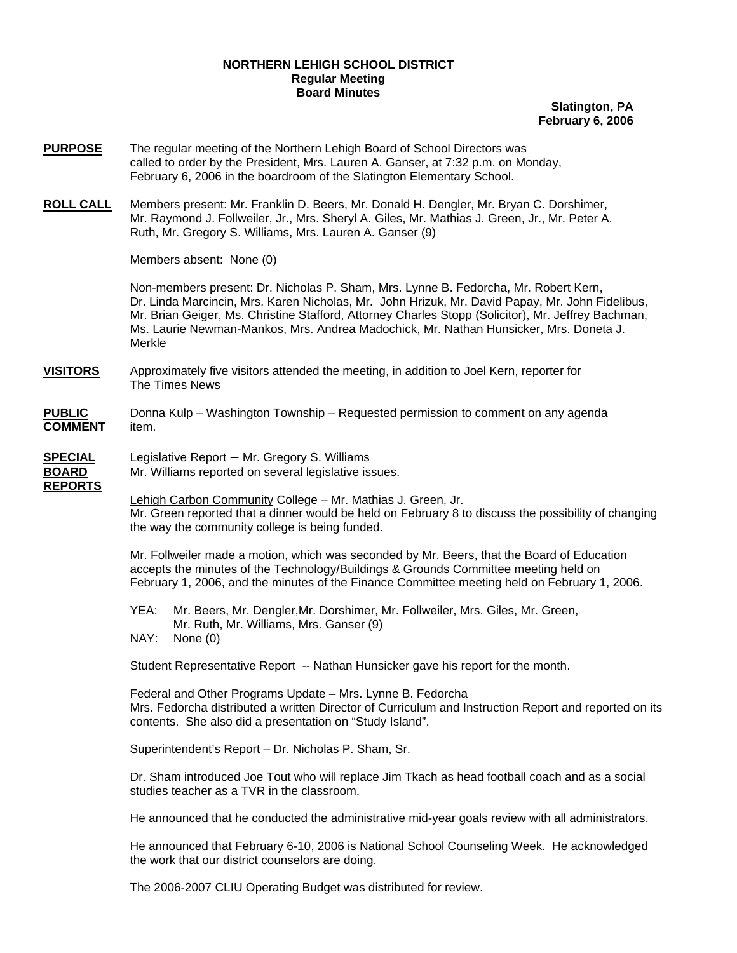## **NORTHERN LEHIGH SCHOOL DISTRICT Regular Meeting Board Minutes**

**Slatington, PA February 6, 2006**

- **PURPOSE** The regular meeting of the Northern Lehigh Board of School Directors was called to order by the President, Mrs. Lauren A. Ganser, at 7:32 p.m. on Monday, February 6, 2006 in the boardroom of the Slatington Elementary School.
- **ROLL CALL** Members present: Mr. Franklin D. Beers, Mr. Donald H. Dengler, Mr. Bryan C. Dorshimer, Mr. Raymond J. Follweiler, Jr., Mrs. Sheryl A. Giles, Mr. Mathias J. Green, Jr., Mr. Peter A. Ruth, Mr. Gregory S. Williams, Mrs. Lauren A. Ganser (9)

Members absent: None (0)

Non-members present: Dr. Nicholas P. Sham, Mrs. Lynne B. Fedorcha, Mr. Robert Kern, Dr. Linda Marcincin, Mrs. Karen Nicholas, Mr. John Hrizuk, Mr. David Papay, Mr. John Fidelibus, Mr. Brian Geiger, Ms. Christine Stafford, Attorney Charles Stopp (Solicitor), Mr. Jeffrey Bachman, Ms. Laurie Newman-Mankos, Mrs. Andrea Madochick, Mr. Nathan Hunsicker, Mrs. Doneta J. Merkle

- **VISITORS** Approximately five visitors attended the meeting, in addition to Joel Kern, reporter for The Times News
- **PUBLIC** Donna Kulp Washington Township Requested permission to comment on any agenda **COMMENT** item.

## **SPECIAL** Legislative Report – Mr. Gregory S. Williams

**REPORTS**

**BOARD** Mr. Williams reported on several legislative issues.

Lehigh Carbon Community College - Mr. Mathias J. Green, Jr. Mr. Green reported that a dinner would be held on February 8 to discuss the possibility of changing the way the community college is being funded.

 Mr. Follweiler made a motion, which was seconded by Mr. Beers, that the Board of Education accepts the minutes of the Technology/Buildings & Grounds Committee meeting held on February 1, 2006, and the minutes of the Finance Committee meeting held on February 1, 2006.

YEA: Mr. Beers, Mr. Dengler,Mr. Dorshimer, Mr. Follweiler, Mrs. Giles, Mr. Green, Mr. Ruth, Mr. Williams, Mrs. Ganser (9) NAY: None (0)

Student Representative Report -- Nathan Hunsicker gave his report for the month.

Federal and Other Programs Update – Mrs. Lynne B. Fedorcha Mrs. Fedorcha distributed a written Director of Curriculum and Instruction Report and reported on its contents. She also did a presentation on "Study Island".

Superintendent's Report – Dr. Nicholas P. Sham, Sr.

Dr. Sham introduced Joe Tout who will replace Jim Tkach as head football coach and as a social studies teacher as a TVR in the classroom.

He announced that he conducted the administrative mid-year goals review with all administrators.

He announced that February 6-10, 2006 is National School Counseling Week. He acknowledged the work that our district counselors are doing.

The 2006-2007 CLIU Operating Budget was distributed for review.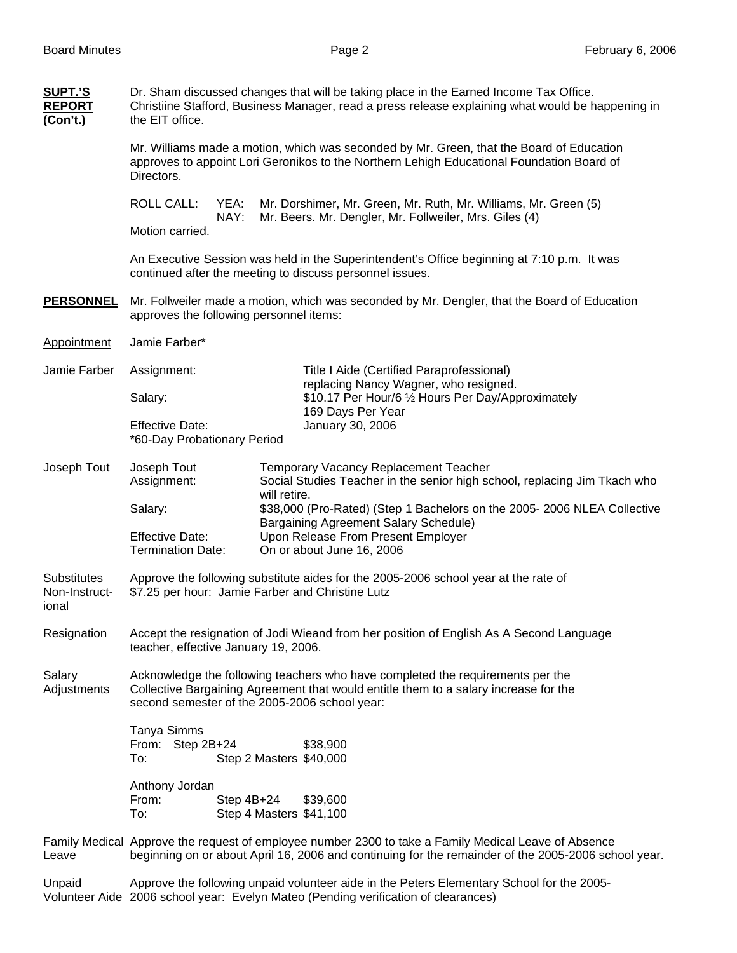| SUPT.'S<br><b>REPORT</b><br>(Con't.)  | Dr. Sham discussed changes that will be taking place in the Earned Income Tax Office.<br>Christiine Stafford, Business Manager, read a press release explaining what would be happening in<br>the EIT office.           |                                         |                                                                                                                           |  |                                                    |                                                                           |  |
|---------------------------------------|-------------------------------------------------------------------------------------------------------------------------------------------------------------------------------------------------------------------------|-----------------------------------------|---------------------------------------------------------------------------------------------------------------------------|--|----------------------------------------------------|---------------------------------------------------------------------------|--|
|                                       | Mr. Williams made a motion, which was seconded by Mr. Green, that the Board of Education<br>approves to appoint Lori Geronikos to the Northern Lehigh Educational Foundation Board of<br>Directors.                     |                                         |                                                                                                                           |  |                                                    |                                                                           |  |
|                                       | <b>ROLL CALL:</b><br>YEA:<br>NAY:                                                                                                                                                                                       |                                         | Mr. Dorshimer, Mr. Green, Mr. Ruth, Mr. Williams, Mr. Green (5)<br>Mr. Beers. Mr. Dengler, Mr. Follweiler, Mrs. Giles (4) |  |                                                    |                                                                           |  |
|                                       | Motion carried.                                                                                                                                                                                                         |                                         |                                                                                                                           |  |                                                    |                                                                           |  |
|                                       | An Executive Session was held in the Superintendent's Office beginning at 7:10 p.m. It was<br>continued after the meeting to discuss personnel issues.                                                                  |                                         |                                                                                                                           |  |                                                    |                                                                           |  |
| <b>PERSONNEL</b>                      | Mr. Follweiler made a motion, which was seconded by Mr. Dengler, that the Board of Education<br>approves the following personnel items:                                                                                 |                                         |                                                                                                                           |  |                                                    |                                                                           |  |
| Appointment                           | Jamie Farber*                                                                                                                                                                                                           |                                         |                                                                                                                           |  |                                                    |                                                                           |  |
| Jamie Farber                          | Assignment:                                                                                                                                                                                                             |                                         | Title I Aide (Certified Paraprofessional)<br>replacing Nancy Wagner, who resigned.                                        |  |                                                    |                                                                           |  |
|                                       | Salary:                                                                                                                                                                                                                 |                                         | 169 Days Per Year                                                                                                         |  | \$10.17 Per Hour/6 1/2 Hours Per Day/Approximately |                                                                           |  |
|                                       | <b>Effective Date:</b><br>*60-Day Probationary Period                                                                                                                                                                   |                                         | January 30, 2006                                                                                                          |  |                                                    |                                                                           |  |
| Joseph Tout                           | Joseph Tout<br>Assignment:                                                                                                                                                                                              | will retire.                            | <b>Temporary Vacancy Replacement Teacher</b>                                                                              |  |                                                    | Social Studies Teacher in the senior high school, replacing Jim Tkach who |  |
|                                       | Salary:                                                                                                                                                                                                                 |                                         | Bargaining Agreement Salary Schedule)                                                                                     |  |                                                    | \$38,000 (Pro-Rated) (Step 1 Bachelors on the 2005- 2006 NLEA Collective  |  |
|                                       | <b>Effective Date:</b><br><b>Termination Date:</b>                                                                                                                                                                      |                                         | Upon Release From Present Employer<br>On or about June 16, 2006                                                           |  |                                                    |                                                                           |  |
| Substitutes<br>Non-Instruct-<br>ional | Approve the following substitute aides for the 2005-2006 school year at the rate of<br>\$7.25 per hour: Jamie Farber and Christine Lutz                                                                                 |                                         |                                                                                                                           |  |                                                    |                                                                           |  |
| Resignation                           | Accept the resignation of Jodi Wieand from her position of English As A Second Language<br>teacher, effective January 19, 2006.                                                                                         |                                         |                                                                                                                           |  |                                                    |                                                                           |  |
| Salary<br>Adjustments                 | Acknowledge the following teachers who have completed the requirements per the<br>Collective Bargaining Agreement that would entitle them to a salary increase for the<br>second semester of the 2005-2006 school year: |                                         |                                                                                                                           |  |                                                    |                                                                           |  |
|                                       | Tanya Simms<br>From: Step 2B+24<br>To:                                                                                                                                                                                  | Step 2 Masters \$40,000                 | \$38,900                                                                                                                  |  |                                                    |                                                                           |  |
|                                       | Anthony Jordan<br>From:<br>To:                                                                                                                                                                                          | Step $4B+24$<br>Step 4 Masters \$41,100 | \$39,600                                                                                                                  |  |                                                    |                                                                           |  |
| Leave                                 | Family Medical Approve the request of employee number 2300 to take a Family Medical Leave of Absence<br>beginning on or about April 16, 2006 and continuing for the remainder of the 2005-2006 school year.             |                                         |                                                                                                                           |  |                                                    |                                                                           |  |
| Unpaid                                | Approve the following unpaid volunteer aide in the Peters Elementary School for the 2005-<br>Volunteer Aide 2006 school year: Evelyn Mateo (Pending verification of clearances)                                         |                                         |                                                                                                                           |  |                                                    |                                                                           |  |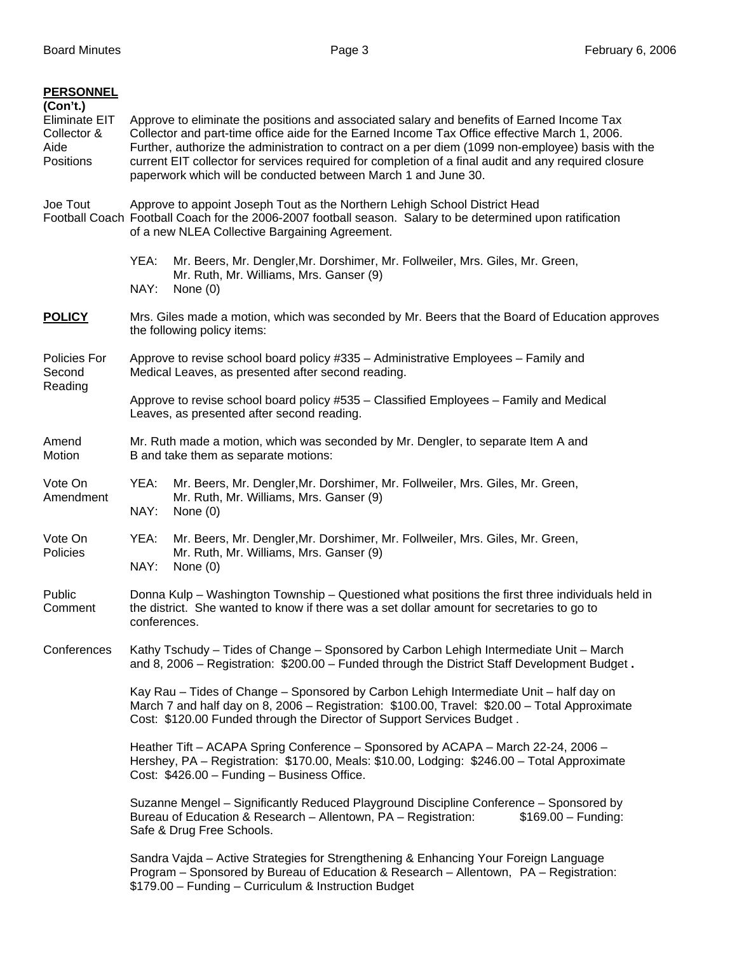| <b>PERSONNEL</b><br>(Con't.)<br><b>Eliminate EIT</b><br>Collector &<br>Aide<br>Positions | Approve to eliminate the positions and associated salary and benefits of Earned Income Tax<br>Collector and part-time office aide for the Earned Income Tax Office effective March 1, 2006.<br>Further, authorize the administration to contract on a per diem (1099 non-employee) basis with the<br>current EIT collector for services required for completion of a final audit and any required closure<br>paperwork which will be conducted between March 1 and June 30. |  |  |  |  |  |
|------------------------------------------------------------------------------------------|-----------------------------------------------------------------------------------------------------------------------------------------------------------------------------------------------------------------------------------------------------------------------------------------------------------------------------------------------------------------------------------------------------------------------------------------------------------------------------|--|--|--|--|--|
| Joe Tout                                                                                 | Approve to appoint Joseph Tout as the Northern Lehigh School District Head<br>Football Coach Football Coach for the 2006-2007 football season. Salary to be determined upon ratification<br>of a new NLEA Collective Bargaining Agreement.                                                                                                                                                                                                                                  |  |  |  |  |  |
|                                                                                          | YEA:<br>Mr. Beers, Mr. Dengler, Mr. Dorshimer, Mr. Follweiler, Mrs. Giles, Mr. Green,<br>Mr. Ruth, Mr. Williams, Mrs. Ganser (9)<br>NAY:<br>None $(0)$                                                                                                                                                                                                                                                                                                                      |  |  |  |  |  |
| <b>POLICY</b>                                                                            | Mrs. Giles made a motion, which was seconded by Mr. Beers that the Board of Education approves<br>the following policy items:                                                                                                                                                                                                                                                                                                                                               |  |  |  |  |  |
| Policies For<br>Second<br>Reading                                                        | Approve to revise school board policy #335 - Administrative Employees - Family and<br>Medical Leaves, as presented after second reading.                                                                                                                                                                                                                                                                                                                                    |  |  |  |  |  |
|                                                                                          | Approve to revise school board policy #535 - Classified Employees - Family and Medical<br>Leaves, as presented after second reading.                                                                                                                                                                                                                                                                                                                                        |  |  |  |  |  |
| Amend<br>Motion                                                                          | Mr. Ruth made a motion, which was seconded by Mr. Dengler, to separate Item A and<br>B and take them as separate motions:                                                                                                                                                                                                                                                                                                                                                   |  |  |  |  |  |
| Vote On<br>Amendment                                                                     | YEA:<br>Mr. Beers, Mr. Dengler, Mr. Dorshimer, Mr. Follweiler, Mrs. Giles, Mr. Green,<br>Mr. Ruth, Mr. Williams, Mrs. Ganser (9)<br>NAY:<br>None $(0)$                                                                                                                                                                                                                                                                                                                      |  |  |  |  |  |
| Vote On<br>Policies                                                                      | Mr. Beers, Mr. Dengler, Mr. Dorshimer, Mr. Follweiler, Mrs. Giles, Mr. Green,<br>YEA:<br>Mr. Ruth, Mr. Williams, Mrs. Ganser (9)<br>NAY:<br>None $(0)$                                                                                                                                                                                                                                                                                                                      |  |  |  |  |  |
| Public<br>Comment                                                                        | Donna Kulp - Washington Township - Questioned what positions the first three individuals held in<br>the district. She wanted to know if there was a set dollar amount for secretaries to go to<br>conferences.                                                                                                                                                                                                                                                              |  |  |  |  |  |
| Conferences                                                                              | Kathy Tschudy - Tides of Change - Sponsored by Carbon Lehigh Intermediate Unit - March<br>and 8, 2006 – Registration: \$200.00 – Funded through the District Staff Development Budget.                                                                                                                                                                                                                                                                                      |  |  |  |  |  |
|                                                                                          | Kay Rau - Tides of Change - Sponsored by Carbon Lehigh Intermediate Unit - half day on<br>March 7 and half day on 8, 2006 - Registration: \$100.00, Travel: \$20.00 - Total Approximate<br>Cost: \$120.00 Funded through the Director of Support Services Budget.                                                                                                                                                                                                           |  |  |  |  |  |
|                                                                                          | Heather Tift - ACAPA Spring Conference - Sponsored by ACAPA - March 22-24, 2006 -<br>Hershey, PA - Registration: \$170.00, Meals: \$10.00, Lodging: \$246.00 - Total Approximate<br>Cost: \$426.00 - Funding - Business Office.                                                                                                                                                                                                                                             |  |  |  |  |  |
|                                                                                          | Suzanne Mengel - Significantly Reduced Playground Discipline Conference - Sponsored by<br>Bureau of Education & Research - Allentown, PA - Registration:<br>$$169.00 - Funding:$<br>Safe & Drug Free Schools.                                                                                                                                                                                                                                                               |  |  |  |  |  |
|                                                                                          | Sandra Vajda – Active Strategies for Strengthening & Enhancing Your Foreign Language<br>Program - Sponsored by Bureau of Education & Research - Allentown, PA - Registration:<br>\$179.00 - Funding - Curriculum & Instruction Budget                                                                                                                                                                                                                                       |  |  |  |  |  |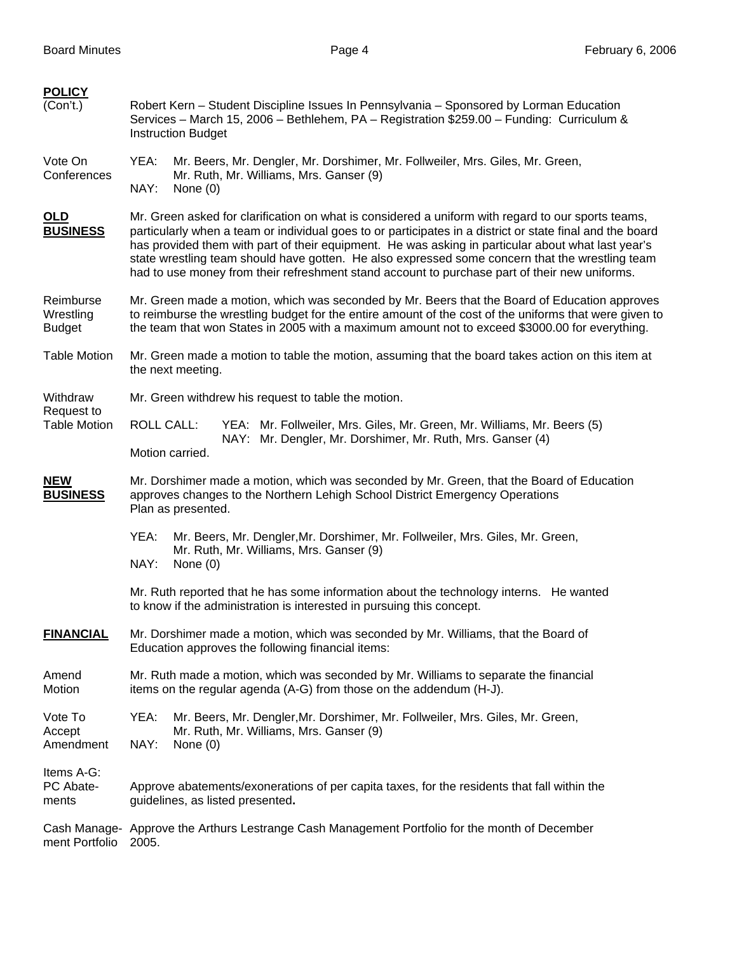| <b>POLICY</b>                                 |                                                                                                                                                                                                                                                                                                                                                                                                                                                                                                                           |  |  |  |  |
|-----------------------------------------------|---------------------------------------------------------------------------------------------------------------------------------------------------------------------------------------------------------------------------------------------------------------------------------------------------------------------------------------------------------------------------------------------------------------------------------------------------------------------------------------------------------------------------|--|--|--|--|
| (Con't.)                                      | Robert Kern - Student Discipline Issues In Pennsylvania - Sponsored by Lorman Education<br>Services - March 15, 2006 - Bethlehem, PA - Registration \$259.00 - Funding: Curriculum &<br><b>Instruction Budget</b>                                                                                                                                                                                                                                                                                                         |  |  |  |  |
| Vote On<br>Conferences                        | YEA:<br>Mr. Beers, Mr. Dengler, Mr. Dorshimer, Mr. Follweiler, Mrs. Giles, Mr. Green,<br>Mr. Ruth, Mr. Williams, Mrs. Ganser (9)<br>NAY:<br>None $(0)$                                                                                                                                                                                                                                                                                                                                                                    |  |  |  |  |
| OLD<br><b>BUSINESS</b>                        | Mr. Green asked for clarification on what is considered a uniform with regard to our sports teams,<br>particularly when a team or individual goes to or participates in a district or state final and the board<br>has provided them with part of their equipment. He was asking in particular about what last year's<br>state wrestling team should have gotten. He also expressed some concern that the wrestling team<br>had to use money from their refreshment stand account to purchase part of their new uniforms. |  |  |  |  |
| Reimburse<br>Wrestling<br><b>Budget</b>       | Mr. Green made a motion, which was seconded by Mr. Beers that the Board of Education approves<br>to reimburse the wrestling budget for the entire amount of the cost of the uniforms that were given to<br>the team that won States in 2005 with a maximum amount not to exceed \$3000.00 for everything.                                                                                                                                                                                                                 |  |  |  |  |
| <b>Table Motion</b>                           | Mr. Green made a motion to table the motion, assuming that the board takes action on this item at<br>the next meeting.                                                                                                                                                                                                                                                                                                                                                                                                    |  |  |  |  |
| Withdraw<br>Request to<br><b>Table Motion</b> | Mr. Green withdrew his request to table the motion.                                                                                                                                                                                                                                                                                                                                                                                                                                                                       |  |  |  |  |
|                                               | <b>ROLL CALL:</b><br>YEA: Mr. Follweiler, Mrs. Giles, Mr. Green, Mr. Williams, Mr. Beers (5)                                                                                                                                                                                                                                                                                                                                                                                                                              |  |  |  |  |
|                                               | NAY: Mr. Dengler, Mr. Dorshimer, Mr. Ruth, Mrs. Ganser (4)<br>Motion carried.                                                                                                                                                                                                                                                                                                                                                                                                                                             |  |  |  |  |
| <b>NEW</b><br><b>BUSINESS</b>                 | Mr. Dorshimer made a motion, which was seconded by Mr. Green, that the Board of Education<br>approves changes to the Northern Lehigh School District Emergency Operations<br>Plan as presented.                                                                                                                                                                                                                                                                                                                           |  |  |  |  |
|                                               | YEA:<br>Mr. Beers, Mr. Dengler, Mr. Dorshimer, Mr. Follweiler, Mrs. Giles, Mr. Green,<br>Mr. Ruth, Mr. Williams, Mrs. Ganser (9)<br>NAY:<br>None $(0)$                                                                                                                                                                                                                                                                                                                                                                    |  |  |  |  |
|                                               | Mr. Ruth reported that he has some information about the technology interns. He wanted<br>to know if the administration is interested in pursuing this concept.                                                                                                                                                                                                                                                                                                                                                           |  |  |  |  |
| <b>FINANCIAL</b>                              | Mr. Dorshimer made a motion, which was seconded by Mr. Williams, that the Board of<br>Education approves the following financial items:                                                                                                                                                                                                                                                                                                                                                                                   |  |  |  |  |
| Amend<br>Motion                               | Mr. Ruth made a motion, which was seconded by Mr. Williams to separate the financial<br>items on the regular agenda (A-G) from those on the addendum (H-J).                                                                                                                                                                                                                                                                                                                                                               |  |  |  |  |
| Vote To<br>Accept<br>Amendment                | YEA:<br>Mr. Beers, Mr. Dengler, Mr. Dorshimer, Mr. Follweiler, Mrs. Giles, Mr. Green,<br>Mr. Ruth, Mr. Williams, Mrs. Ganser (9)<br>NAY:<br>None $(0)$                                                                                                                                                                                                                                                                                                                                                                    |  |  |  |  |
| Items A-G:<br>PC Abate-<br>ments              | Approve abatements/exonerations of per capita taxes, for the residents that fall within the<br>guidelines, as listed presented.                                                                                                                                                                                                                                                                                                                                                                                           |  |  |  |  |
| ment Portfolio                                | Cash Manage- Approve the Arthurs Lestrange Cash Management Portfolio for the month of December<br>2005.                                                                                                                                                                                                                                                                                                                                                                                                                   |  |  |  |  |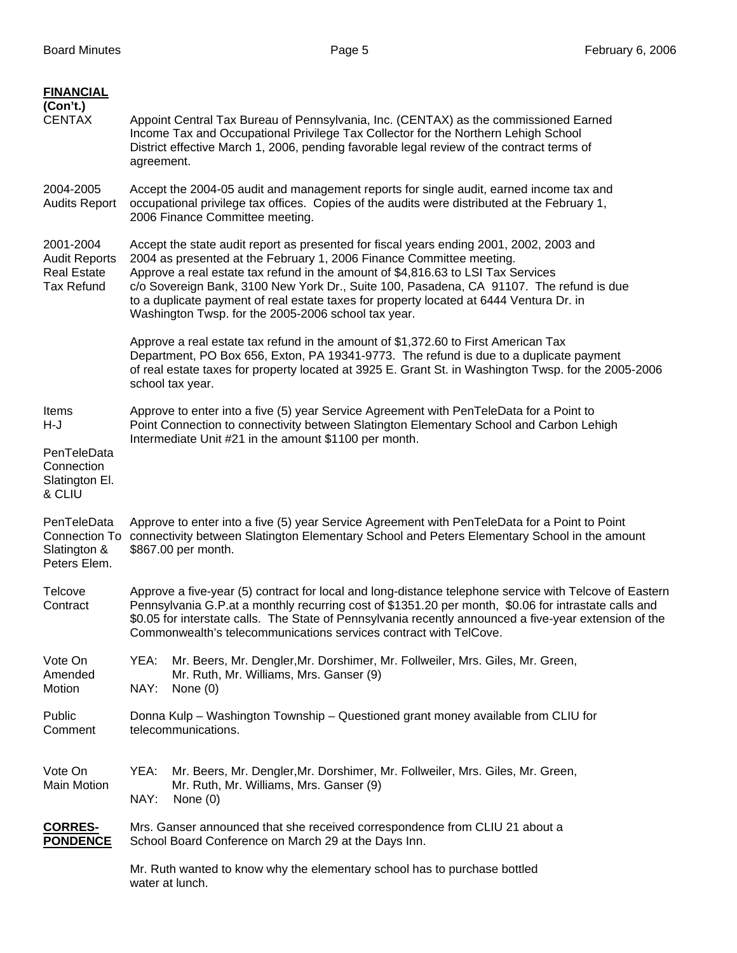| <b>FINANCIAL</b><br>(Con't.)<br><b>CENTAX</b>                                | Appoint Central Tax Bureau of Pennsylvania, Inc. (CENTAX) as the commissioned Earned<br>Income Tax and Occupational Privilege Tax Collector for the Northern Lehigh School<br>District effective March 1, 2006, pending favorable legal review of the contract terms of<br>agreement.                                                                                                                                                                                                            |  |  |  |  |  |  |
|------------------------------------------------------------------------------|--------------------------------------------------------------------------------------------------------------------------------------------------------------------------------------------------------------------------------------------------------------------------------------------------------------------------------------------------------------------------------------------------------------------------------------------------------------------------------------------------|--|--|--|--|--|--|
| 2004-2005<br><b>Audits Report</b>                                            | Accept the 2004-05 audit and management reports for single audit, earned income tax and<br>occupational privilege tax offices. Copies of the audits were distributed at the February 1,<br>2006 Finance Committee meeting.                                                                                                                                                                                                                                                                       |  |  |  |  |  |  |
| 2001-2004<br><b>Audit Reports</b><br><b>Real Estate</b><br><b>Tax Refund</b> | Accept the state audit report as presented for fiscal years ending 2001, 2002, 2003 and<br>2004 as presented at the February 1, 2006 Finance Committee meeting.<br>Approve a real estate tax refund in the amount of \$4,816.63 to LSI Tax Services<br>c/o Sovereign Bank, 3100 New York Dr., Suite 100, Pasadena, CA 91107. The refund is due<br>to a duplicate payment of real estate taxes for property located at 6444 Ventura Dr. in<br>Washington Twsp. for the 2005-2006 school tax year. |  |  |  |  |  |  |
|                                                                              | Approve a real estate tax refund in the amount of \$1,372.60 to First American Tax<br>Department, PO Box 656, Exton, PA 19341-9773. The refund is due to a duplicate payment<br>of real estate taxes for property located at 3925 E. Grant St. in Washington Twsp. for the 2005-2006<br>school tax year.                                                                                                                                                                                         |  |  |  |  |  |  |
| Items<br>H-J                                                                 | Approve to enter into a five (5) year Service Agreement with PenTeleData for a Point to<br>Point Connection to connectivity between Slatington Elementary School and Carbon Lehigh                                                                                                                                                                                                                                                                                                               |  |  |  |  |  |  |
| PenTeleData<br>Connection<br>Slatington El.<br>& CLIU                        | Intermediate Unit #21 in the amount \$1100 per month.                                                                                                                                                                                                                                                                                                                                                                                                                                            |  |  |  |  |  |  |
| PenTeleData<br>Slatington &<br>Peters Elem.                                  | Approve to enter into a five (5) year Service Agreement with PenTeleData for a Point to Point<br>Connection To connectivity between Slatington Elementary School and Peters Elementary School in the amount<br>\$867.00 per month.                                                                                                                                                                                                                                                               |  |  |  |  |  |  |
| Telcove<br>Contract                                                          | Approve a five-year (5) contract for local and long-distance telephone service with Telcove of Eastern<br>Pennsylvania G.P.at a monthly recurring cost of \$1351.20 per month, \$0.06 for intrastate calls and<br>\$0.05 for interstate calls. The State of Pennsylvania recently announced a five-year extension of the<br>Commonwealth's telecommunications services contract with TelCove.                                                                                                    |  |  |  |  |  |  |
| Vote On<br>Amended<br>Motion                                                 | Mr. Beers, Mr. Dengler, Mr. Dorshimer, Mr. Follweiler, Mrs. Giles, Mr. Green,<br>YEA:<br>Mr. Ruth, Mr. Williams, Mrs. Ganser (9)<br>NAY:<br>None $(0)$                                                                                                                                                                                                                                                                                                                                           |  |  |  |  |  |  |
| Public<br>Comment                                                            | Donna Kulp – Washington Township – Questioned grant money available from CLIU for<br>telecommunications.                                                                                                                                                                                                                                                                                                                                                                                         |  |  |  |  |  |  |
| Vote On<br><b>Main Motion</b>                                                | Mr. Beers, Mr. Dengler, Mr. Dorshimer, Mr. Follweiler, Mrs. Giles, Mr. Green,<br>YEA:<br>Mr. Ruth, Mr. Williams, Mrs. Ganser (9)<br>NAY:<br>None $(0)$                                                                                                                                                                                                                                                                                                                                           |  |  |  |  |  |  |
| <b>CORRES-</b><br><b>PONDENCE</b>                                            | Mrs. Ganser announced that she received correspondence from CLIU 21 about a<br>School Board Conference on March 29 at the Days Inn.                                                                                                                                                                                                                                                                                                                                                              |  |  |  |  |  |  |
|                                                                              | Mr. Ruth wanted to know why the elementary school has to purchase bottled<br>water at lunch.                                                                                                                                                                                                                                                                                                                                                                                                     |  |  |  |  |  |  |